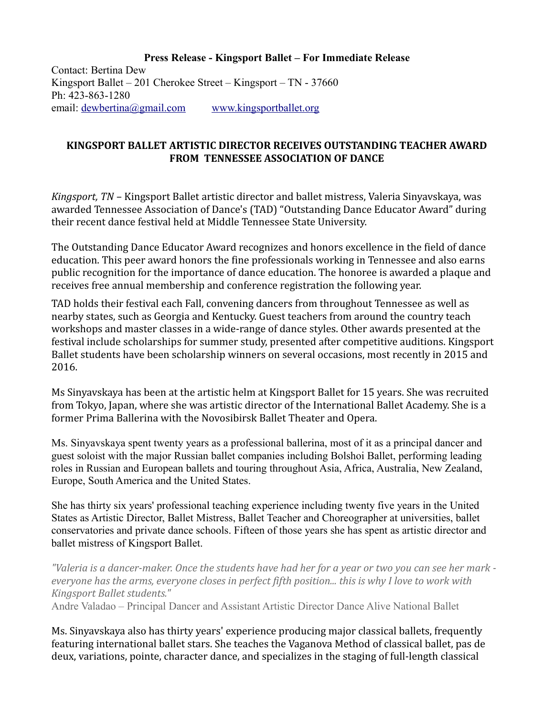**Press Release - Kingsport Ballet – For Immediate Release** Contact: Bertina Dew Kingsport Ballet – 201 Cherokee Street – Kingsport – TN - 37660 Ph: 423-863-1280 email: [dewbertina@gmail.com](mailto:dewbertina@gmail.com) [www.kingsportballet.org](http://www.kingsportballet.org/)

## **KINGSPORT BALLET ARTISTIC DIRECTOR RECEIVES OUTSTANDING TEACHER AWARD FROM TENNESSEE ASSOCIATION OF DANCE**

*Kingsport, TN* – Kingsport Ballet artistic director and ballet mistress, Valeria Sinyavskaya, was awarded Tennessee Association of Dance's (TAD) "Outstanding Dance Educator Award" during their recent dance festival held at Middle Tennessee State University.

The Outstanding Dance Educator Award recognizes and honors excellence in the field of dance education. This peer award honors the fine professionals working in Tennessee and also earns public recognition for the importance of dance education. The honoree is awarded a plaque and receives free annual membership and conference registration the following year.

TAD holds their festival each Fall, convening dancers from throughout Tennessee as well as nearby states, such as Georgia and Kentucky. Guest teachers from around the country teach workshops and master classes in a wide-range of dance styles. Other awards presented at the festival include scholarships for summer study, presented after competitive auditions. Kingsport Ballet students have been scholarship winners on several occasions, most recently in 2015 and 2016.

Ms Sinyavskaya has been at the artistic helm at Kingsport Ballet for 15 years. She was recruited from Tokyo, Japan, where she was artistic director of the International Ballet Academy. She is a former Prima Ballerina with the Novosibirsk Ballet Theater and Opera.

Ms. Sinyavskaya spent twenty years as a professional ballerina, most of it as a principal dancer and guest soloist with the major Russian ballet companies including Bolshoi Ballet, performing leading roles in Russian and European ballets and touring throughout Asia, Africa, Australia, New Zealand, Europe, South America and the United States.

She has thirty six years' professional teaching experience including twenty five years in the United States as Artistic Director, Ballet Mistress, Ballet Teacher and Choreographer at universities, ballet conservatories and private dance schools. Fifteen of those years she has spent as artistic director and ballet mistress of Kingsport Ballet.

*"Valeria is a dancer-maker. Once the students have had her for a year or two you can see her mark everyone has the arms, everyone closes in perfect fifth position... this is why I love to work with Kingsport Ballet students."*

Andre Valadao – Principal Dancer and Assistant Artistic Director Dance Alive National Ballet

Ms. Sinyavskaya also has thirty years' experience producing major classical ballets, frequently featuring international ballet stars. She teaches the Vaganova Method of classical ballet, pas de deux, variations, pointe, character dance, and specializes in the staging of full-length classical